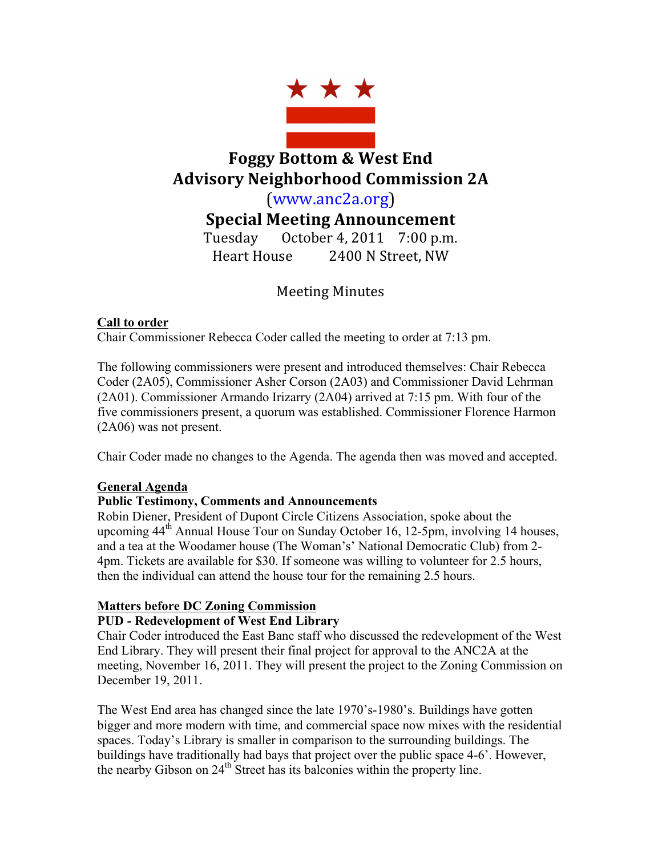

# **Foggy Bottom & West End Advisory Neighborhood Commission 2A**

(www.anc2a.org)

**Special Meeting Announcement**

Tuesday October 4, 2011  $7:00$  p.m. Heart House 2400 N Street, NW

## Meeting Minutes

### **Call to order**

Chair Commissioner Rebecca Coder called the meeting to order at 7:13 pm.

The following commissioners were present and introduced themselves: Chair Rebecca Coder (2A05), Commissioner Asher Corson (2A03) and Commissioner David Lehrman (2A01). Commissioner Armando Irizarry (2A04) arrived at 7:15 pm. With four of the five commissioners present, a quorum was established. Commissioner Florence Harmon (2A06) was not present.

Chair Coder made no changes to the Agenda. The agenda then was moved and accepted.

### **General Agenda**

### **Public Testimony, Comments and Announcements**

Robin Diener, President of Dupont Circle Citizens Association, spoke about the upcoming  $44<sup>th</sup>$  Annual House Tour on Sunday October 16, 12-5pm, involving 14 houses, and a tea at the Woodamer house (The Woman's' National Democratic Club) from 2- 4pm. Tickets are available for \$30. If someone was willing to volunteer for 2.5 hours, then the individual can attend the house tour for the remaining 2.5 hours.

### **Matters before DC Zoning Commission**

### **PUD - Redevelopment of West End Library**

Chair Coder introduced the East Banc staff who discussed the redevelopment of the West End Library. They will present their final project for approval to the ANC2A at the meeting, November 16, 2011. They will present the project to the Zoning Commission on December 19, 2011.

The West End area has changed since the late 1970's-1980's. Buildings have gotten bigger and more modern with time, and commercial space now mixes with the residential spaces. Today's Library is smaller in comparison to the surrounding buildings. The buildings have traditionally had bays that project over the public space 4-6'. However, the nearby Gibson on  $24<sup>th</sup>$  Street has its balconies within the property line.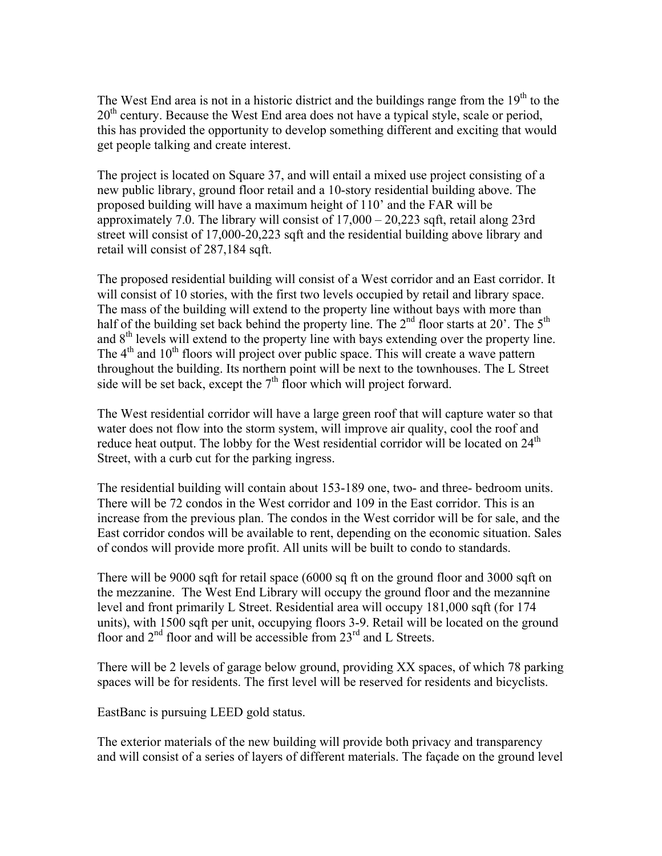The West End area is not in a historic district and the buildings range from the  $19<sup>th</sup>$  to the  $20<sup>th</sup>$  century. Because the West End area does not have a typical style, scale or period, this has provided the opportunity to develop something different and exciting that would get people talking and create interest.

The project is located on Square 37, and will entail a mixed use project consisting of a new public library, ground floor retail and a 10-story residential building above. The proposed building will have a maximum height of 110' and the FAR will be approximately 7.0. The library will consist of 17,000 – 20,223 sqft, retail along 23rd street will consist of 17,000-20,223 sqft and the residential building above library and retail will consist of 287,184 sqft.

The proposed residential building will consist of a West corridor and an East corridor. It will consist of 10 stories, with the first two levels occupied by retail and library space. The mass of the building will extend to the property line without bays with more than half of the building set back behind the property line. The  $2<sup>nd</sup>$  floor starts at 20'. The  $5<sup>th</sup>$ and  $8<sup>th</sup>$  levels will extend to the property line with bays extending over the property line. The  $4<sup>th</sup>$  and  $10<sup>th</sup>$  floors will project over public space. This will create a wave pattern throughout the building. Its northern point will be next to the townhouses. The L Street side will be set back, except the  $7<sup>th</sup>$  floor which will project forward.

The West residential corridor will have a large green roof that will capture water so that water does not flow into the storm system, will improve air quality, cool the roof and reduce heat output. The lobby for the West residential corridor will be located on  $24<sup>th</sup>$ Street, with a curb cut for the parking ingress.

The residential building will contain about 153-189 one, two- and three- bedroom units. There will be 72 condos in the West corridor and 109 in the East corridor. This is an increase from the previous plan. The condos in the West corridor will be for sale, and the East corridor condos will be available to rent, depending on the economic situation. Sales of condos will provide more profit. All units will be built to condo to standards.

There will be 9000 sqft for retail space (6000 sq ft on the ground floor and 3000 sqft on the mezzanine. The West End Library will occupy the ground floor and the mezannine level and front primarily L Street. Residential area will occupy 181,000 sqft (for 174 units), with 1500 sqft per unit, occupying floors 3-9. Retail will be located on the ground floor and  $2<sup>nd</sup>$  floor and will be accessible from  $23<sup>rd</sup>$  and L Streets.

There will be 2 levels of garage below ground, providing XX spaces, of which 78 parking spaces will be for residents. The first level will be reserved for residents and bicyclists.

EastBanc is pursuing LEED gold status.

The exterior materials of the new building will provide both privacy and transparency and will consist of a series of layers of different materials. The façade on the ground level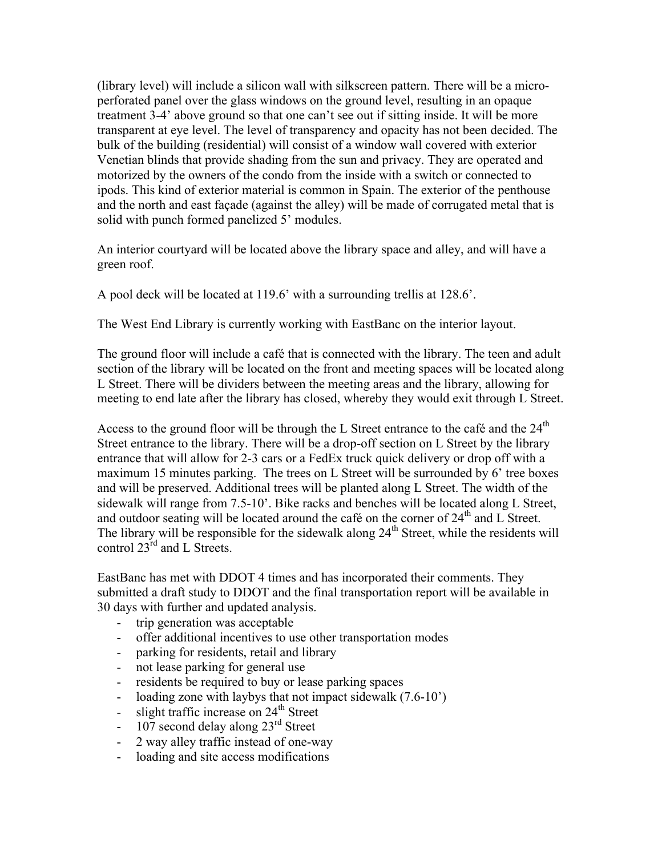(library level) will include a silicon wall with silkscreen pattern. There will be a microperforated panel over the glass windows on the ground level, resulting in an opaque treatment 3-4' above ground so that one can't see out if sitting inside. It will be more transparent at eye level. The level of transparency and opacity has not been decided. The bulk of the building (residential) will consist of a window wall covered with exterior Venetian blinds that provide shading from the sun and privacy. They are operated and motorized by the owners of the condo from the inside with a switch or connected to ipods. This kind of exterior material is common in Spain. The exterior of the penthouse and the north and east façade (against the alley) will be made of corrugated metal that is solid with punch formed panelized 5' modules.

An interior courtyard will be located above the library space and alley, and will have a green roof.

A pool deck will be located at 119.6' with a surrounding trellis at 128.6'.

The West End Library is currently working with EastBanc on the interior layout.

The ground floor will include a café that is connected with the library. The teen and adult section of the library will be located on the front and meeting spaces will be located along L Street. There will be dividers between the meeting areas and the library, allowing for meeting to end late after the library has closed, whereby they would exit through L Street.

Access to the ground floor will be through the L Street entrance to the café and the  $24<sup>th</sup>$ Street entrance to the library. There will be a drop-off section on L Street by the library entrance that will allow for 2-3 cars or a FedEx truck quick delivery or drop off with a maximum 15 minutes parking. The trees on L Street will be surrounded by 6' tree boxes and will be preserved. Additional trees will be planted along L Street. The width of the sidewalk will range from 7.5-10'. Bike racks and benches will be located along L Street, and outdoor seating will be located around the café on the corner of 24<sup>th</sup> and L Street. The library will be responsible for the sidewalk along  $24<sup>th</sup>$  Street, while the residents will control 23<sup>rd</sup> and L Streets.

EastBanc has met with DDOT 4 times and has incorporated their comments. They submitted a draft study to DDOT and the final transportation report will be available in 30 days with further and updated analysis.

- trip generation was acceptable
- offer additional incentives to use other transportation modes
- parking for residents, retail and library
- not lease parking for general use
- residents be required to buy or lease parking spaces
- loading zone with laybys that not impact sidewalk (7.6-10<sup>o</sup>)
- slight traffic increase on  $24<sup>th</sup>$  Street
- 107 second delay along  $23<sup>rd</sup>$  Street
- 2 way alley traffic instead of one-way
- loading and site access modifications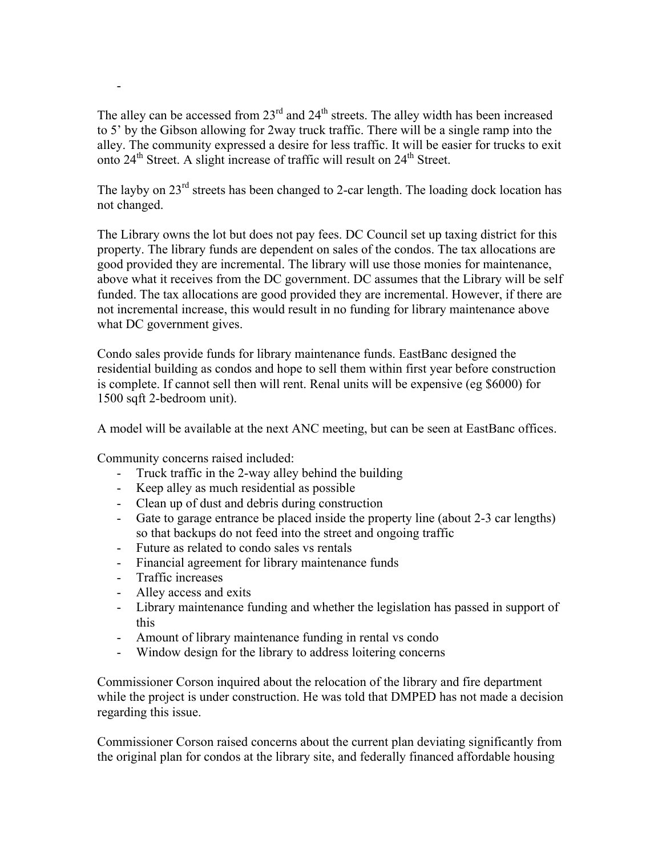The alley can be accessed from  $23<sup>rd</sup>$  and  $24<sup>th</sup>$  streets. The alley width has been increased to 5' by the Gibson allowing for 2way truck traffic. There will be a single ramp into the alley. The community expressed a desire for less traffic. It will be easier for trucks to exit onto  $24<sup>th</sup>$  Street. A slight increase of traffic will result on  $24<sup>th</sup>$  Street.

The layby on  $23<sup>rd</sup>$  streets has been changed to 2-car length. The loading dock location has not changed.

The Library owns the lot but does not pay fees. DC Council set up taxing district for this property. The library funds are dependent on sales of the condos. The tax allocations are good provided they are incremental. The library will use those monies for maintenance, above what it receives from the DC government. DC assumes that the Library will be self funded. The tax allocations are good provided they are incremental. However, if there are not incremental increase, this would result in no funding for library maintenance above what DC government gives.

Condo sales provide funds for library maintenance funds. EastBanc designed the residential building as condos and hope to sell them within first year before construction is complete. If cannot sell then will rent. Renal units will be expensive (eg \$6000) for 1500 sqft 2-bedroom unit).

A model will be available at the next ANC meeting, but can be seen at EastBanc offices.

Community concerns raised included:

- Truck traffic in the 2-way alley behind the building
- Keep alley as much residential as possible
- Clean up of dust and debris during construction
- Gate to garage entrance be placed inside the property line (about 2-3 car lengths) so that backups do not feed into the street and ongoing traffic
- Future as related to condo sales vs rentals
- Financial agreement for library maintenance funds
- Traffic increases

-

- Alley access and exits
- Library maintenance funding and whether the legislation has passed in support of this
- Amount of library maintenance funding in rental vs condo
- Window design for the library to address loitering concerns

Commissioner Corson inquired about the relocation of the library and fire department while the project is under construction. He was told that DMPED has not made a decision regarding this issue.

Commissioner Corson raised concerns about the current plan deviating significantly from the original plan for condos at the library site, and federally financed affordable housing